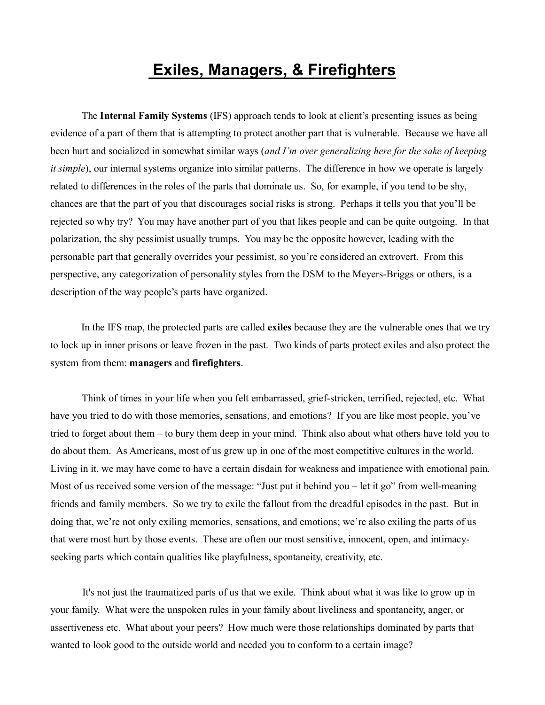# **Exiles, Managers, & Firefighters**

The **Internal Family Systems** (IFS) approach tends to look at client's presenting issues as being evidence of a part of them that is attempting to protect another part that is vulnerable. Because we have all been hurt and socialized in somewhat similar ways (*and I'm over generalizing here for the sake of keeping it simple*), our internal systems organize into similar patterns. The difference in how we operate is largely related to differences in the roles of the parts that dominate us. So, for example, if you tend to be shy, chances are that the part of you that discourages social risks is strong. Perhaps it tells you that you'll be rejected so why try? You may have another part of you that likes people and can be quite outgoing. In that polarization, the shy pessimist usually trumps. You may be the opposite however, leading with the personable part that generally overrides your pessimist, so you're considered an extrovert. From this perspective, any categorization of personality styles from the DSM to the Meyers-Briggs or others, is a description of the way people's parts have organized.

In the IFS map, the protected parts are called **exiles** because they are the vulnerable ones that we try to lock up in inner prisons or leave frozen in the past. Two kinds of parts protect exiles and also protect the system from them: **managers** and **firefighters**.

 Think of times in your life when you felt embarrassed, grief-stricken, terrified, rejected, etc. What have you tried to do with those memories, sensations, and emotions? If you are like most people, you've tried to forget about them – to bury them deep in your mind. Think also about what others have told you to do about them. As Americans, most of us grew up in one of the most competitive cultures in the world. Living in it, we may have come to have a certain disdain for weakness and impatience with emotional pain. Most of us received some version of the message: "Just put it behind you – let it go" from well-meaning friends and family members. So we try to exile the fallout from the dreadful episodes in the past. But in doing that, we're not only exiling memories, sensations, and emotions; we're also exiling the parts of us that were most hurt by those events. These are often our most sensitive, innocent, open, and intimacyseeking parts which contain qualities like playfulness, spontaneity, creativity, etc.

 It's not just the traumatized parts of us that we exile. Think about what it was like to grow up in your family. What were the unspoken rules in your family about liveliness and spontaneity, anger, or assertiveness etc. What about your peers? How much were those relationships dominated by parts that wanted to look good to the outside world and needed you to conform to a certain image?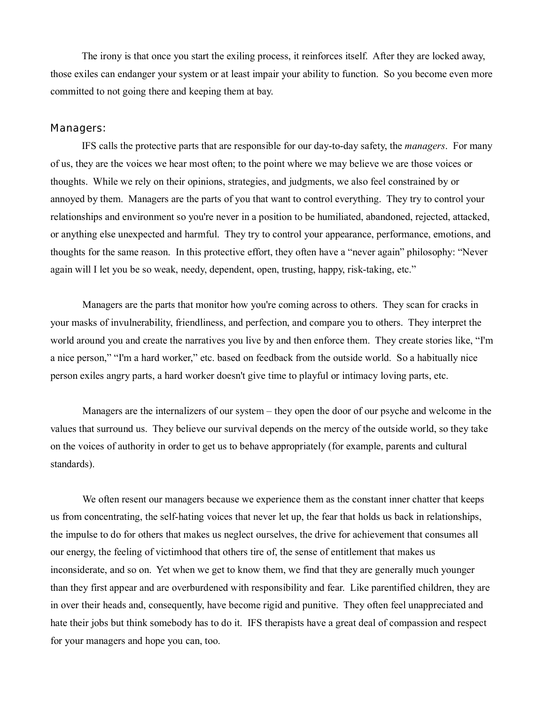The irony is that once you start the exiling process, it reinforces itself. After they are locked away, those exiles can endanger your system or at least impair your ability to function. So you become even more committed to not going there and keeping them at bay.

### **Managers:**

 IFS calls the protective parts that are responsible for our day-to-day safety, the *managers*. For many of us, they are the voices we hear most often; to the point where we may believe we are those voices or thoughts. While we rely on their opinions, strategies, and judgments, we also feel constrained by or annoyed by them. Managers are the parts of you that want to control everything. They try to control your relationships and environment so you're never in a position to be humiliated, abandoned, rejected, attacked, or anything else unexpected and harmful. They try to control your appearance, performance, emotions, and thoughts for the same reason. In this protective effort, they often have a "never again" philosophy: "Never again will I let you be so weak, needy, dependent, open, trusting, happy, risk-taking, etc."

 Managers are the parts that monitor how you're coming across to others. They scan for cracks in your masks of invulnerability, friendliness, and perfection, and compare you to others. They interpret the world around you and create the narratives you live by and then enforce them. They create stories like, "I'm a nice person," "I'm a hard worker," etc. based on feedback from the outside world. So a habitually nice person exiles angry parts, a hard worker doesn't give time to playful or intimacy loving parts, etc.

 Managers are the internalizers of our system – they open the door of our psyche and welcome in the values that surround us. They believe our survival depends on the mercy of the outside world, so they take on the voices of authority in order to get us to behave appropriately (for example, parents and cultural standards).

 We often resent our managers because we experience them as the constant inner chatter that keeps us from concentrating, the self-hating voices that never let up, the fear that holds us back in relationships, the impulse to do for others that makes us neglect ourselves, the drive for achievement that consumes all our energy, the feeling of victimhood that others tire of, the sense of entitlement that makes us inconsiderate, and so on. Yet when we get to know them, we find that they are generally much younger than they first appear and are overburdened with responsibility and fear. Like parentified children, they are in over their heads and, consequently, have become rigid and punitive. They often feel unappreciated and hate their jobs but think somebody has to do it. IFS therapists have a great deal of compassion and respect for your managers and hope you can, too.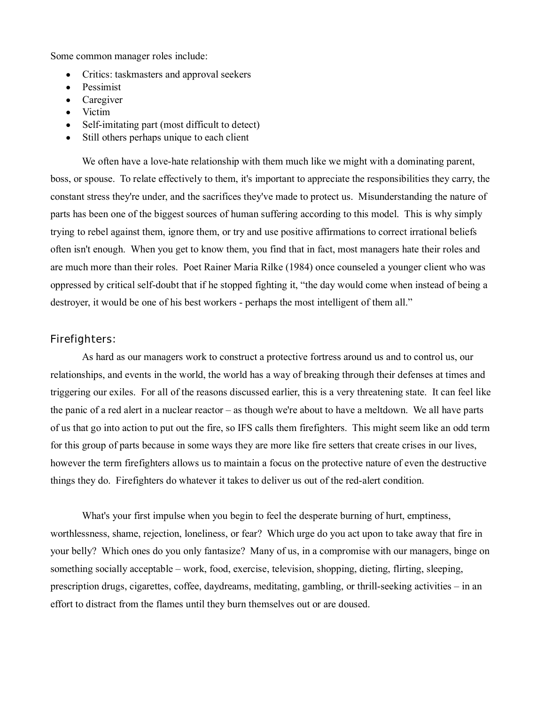Some common manager roles include:

- Critics: taskmasters and approval seekers
- Pessimist
- Caregiver
- Victim
- Self-imitating part (most difficult to detect)
- Still others perhaps unique to each client

We often have a love-hate relationship with them much like we might with a dominating parent, boss, or spouse. To relate effectively to them, it's important to appreciate the responsibilities they carry, the constant stress they're under, and the sacrifices they've made to protect us. Misunderstanding the nature of parts has been one of the biggest sources of human suffering according to this model. This is why simply trying to rebel against them, ignore them, or try and use positive affirmations to correct irrational beliefs often isn't enough. When you get to know them, you find that in fact, most managers hate their roles and are much more than their roles. Poet Rainer Maria Rilke (1984) once counseled a younger client who was oppressed by critical self-doubt that if he stopped fighting it, "the day would come when instead of being a destroyer, it would be one of his best workers - perhaps the most intelligent of them all."

## **Firefighters:**

 As hard as our managers work to construct a protective fortress around us and to control us, our relationships, and events in the world, the world has a way of breaking through their defenses at times and triggering our exiles. For all of the reasons discussed earlier, this is a very threatening state. It can feel like the panic of a red alert in a nuclear reactor – as though we're about to have a meltdown. We all have parts of us that go into action to put out the fire, so IFS calls them firefighters. This might seem like an odd term for this group of parts because in some ways they are more like fire setters that create crises in our lives, however the term firefighters allows us to maintain a focus on the protective nature of even the destructive things they do. Firefighters do whatever it takes to deliver us out of the red-alert condition.

 What's your first impulse when you begin to feel the desperate burning of hurt, emptiness, worthlessness, shame, rejection, loneliness, or fear? Which urge do you act upon to take away that fire in your belly? Which ones do you only fantasize? Many of us, in a compromise with our managers, binge on something socially acceptable – work, food, exercise, television, shopping, dieting, flirting, sleeping, prescription drugs, cigarettes, coffee, daydreams, meditating, gambling, or thrill-seeking activities – in an effort to distract from the flames until they burn themselves out or are doused.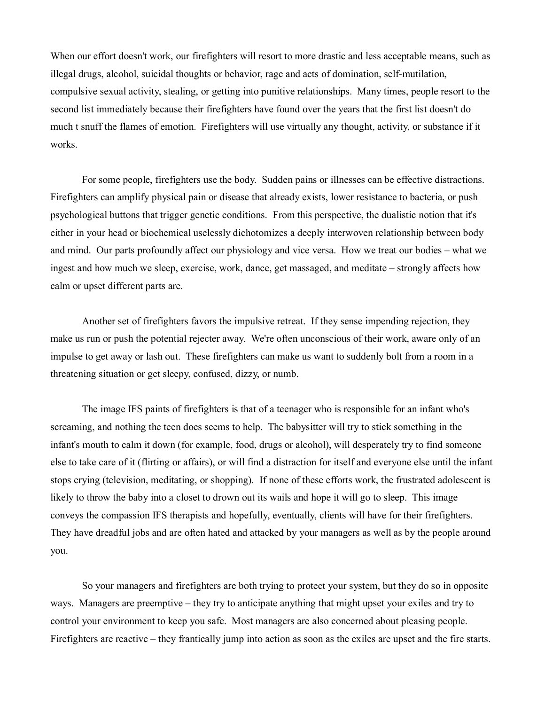When our effort doesn't work, our firefighters will resort to more drastic and less acceptable means, such as illegal drugs, alcohol, suicidal thoughts or behavior, rage and acts of domination, self-mutilation, compulsive sexual activity, stealing, or getting into punitive relationships. Many times, people resort to the second list immediately because their firefighters have found over the years that the first list doesn't do much t snuff the flames of emotion. Firefighters will use virtually any thought, activity, or substance if it works.

 For some people, firefighters use the body. Sudden pains or illnesses can be effective distractions. Firefighters can amplify physical pain or disease that already exists, lower resistance to bacteria, or push psychological buttons that trigger genetic conditions. From this perspective, the dualistic notion that it's either in your head or biochemical uselessly dichotomizes a deeply interwoven relationship between body and mind. Our parts profoundly affect our physiology and vice versa. How we treat our bodies – what we ingest and how much we sleep, exercise, work, dance, get massaged, and meditate – strongly affects how calm or upset different parts are.

 Another set of firefighters favors the impulsive retreat. If they sense impending rejection, they make us run or push the potential rejecter away. We're often unconscious of their work, aware only of an impulse to get away or lash out. These firefighters can make us want to suddenly bolt from a room in a threatening situation or get sleepy, confused, dizzy, or numb.

 The image IFS paints of firefighters is that of a teenager who is responsible for an infant who's screaming, and nothing the teen does seems to help. The babysitter will try to stick something in the infant's mouth to calm it down (for example, food, drugs or alcohol), will desperately try to find someone else to take care of it (flirting or affairs), or will find a distraction for itself and everyone else until the infant stops crying (television, meditating, or shopping). If none of these efforts work, the frustrated adolescent is likely to throw the baby into a closet to drown out its wails and hope it will go to sleep. This image conveys the compassion IFS therapists and hopefully, eventually, clients will have for their firefighters. They have dreadful jobs and are often hated and attacked by your managers as well as by the people around you.

 So your managers and firefighters are both trying to protect your system, but they do so in opposite ways. Managers are preemptive – they try to anticipate anything that might upset your exiles and try to control your environment to keep you safe. Most managers are also concerned about pleasing people. Firefighters are reactive – they frantically jump into action as soon as the exiles are upset and the fire starts.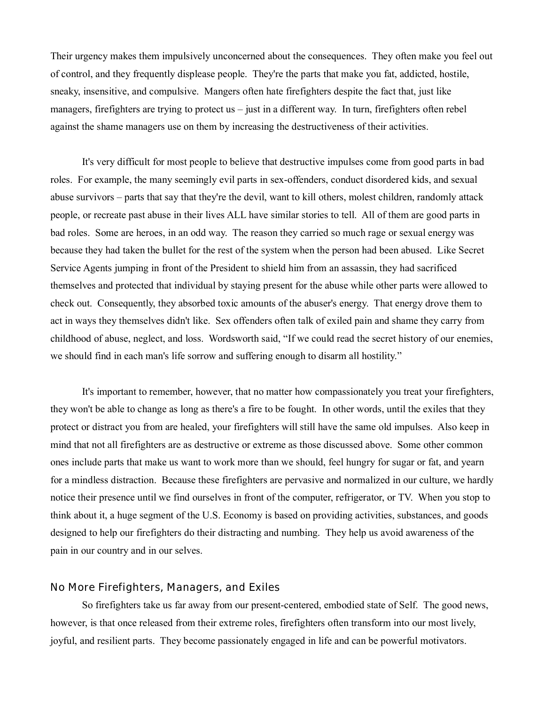Their urgency makes them impulsively unconcerned about the consequences. They often make you feel out of control, and they frequently displease people. They're the parts that make you fat, addicted, hostile, sneaky, insensitive, and compulsive. Mangers often hate firefighters despite the fact that, just like managers, firefighters are trying to protect us – just in a different way. In turn, firefighters often rebel against the shame managers use on them by increasing the destructiveness of their activities.

 It's very difficult for most people to believe that destructive impulses come from good parts in bad roles. For example, the many seemingly evil parts in sex-offenders, conduct disordered kids, and sexual abuse survivors – parts that say that they're the devil, want to kill others, molest children, randomly attack people, or recreate past abuse in their lives ALL have similar stories to tell. All of them are good parts in bad roles. Some are heroes, in an odd way. The reason they carried so much rage or sexual energy was because they had taken the bullet for the rest of the system when the person had been abused. Like Secret Service Agents jumping in front of the President to shield him from an assassin, they had sacrificed themselves and protected that individual by staying present for the abuse while other parts were allowed to check out. Consequently, they absorbed toxic amounts of the abuser's energy. That energy drove them to act in ways they themselves didn't like. Sex offenders often talk of exiled pain and shame they carry from childhood of abuse, neglect, and loss. Wordsworth said, "If we could read the secret history of our enemies, we should find in each man's life sorrow and suffering enough to disarm all hostility."

 It's important to remember, however, that no matter how compassionately you treat your firefighters, they won't be able to change as long as there's a fire to be fought. In other words, until the exiles that they protect or distract you from are healed, your firefighters will still have the same old impulses. Also keep in mind that not all firefighters are as destructive or extreme as those discussed above. Some other common ones include parts that make us want to work more than we should, feel hungry for sugar or fat, and yearn for a mindless distraction. Because these firefighters are pervasive and normalized in our culture, we hardly notice their presence until we find ourselves in front of the computer, refrigerator, or TV. When you stop to think about it, a huge segment of the U.S. Economy is based on providing activities, substances, and goods designed to help our firefighters do their distracting and numbing. They help us avoid awareness of the pain in our country and in our selves.

# **No More Firefighters, Managers, and Exiles**

So firefighters take us far away from our present-centered, embodied state of Self. The good news, however, is that once released from their extreme roles, firefighters often transform into our most lively, joyful, and resilient parts. They become passionately engaged in life and can be powerful motivators.